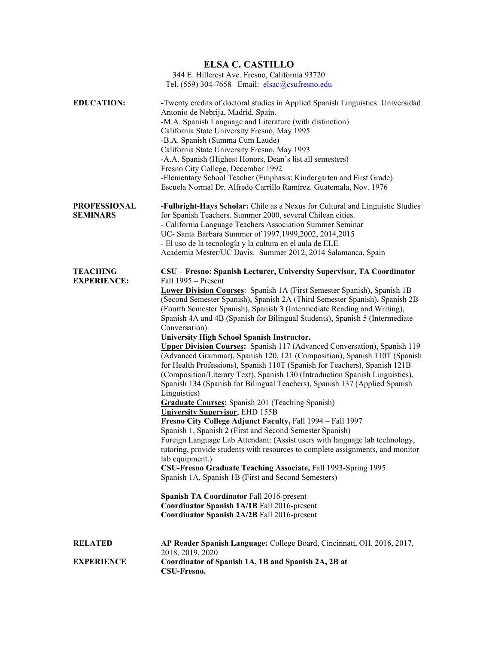| <b>ELSA C. CASTILLO</b> |                                                                                                                                                                                                                                                                                                                                                                                                                                                                                                                                                                     |  |
|-------------------------|---------------------------------------------------------------------------------------------------------------------------------------------------------------------------------------------------------------------------------------------------------------------------------------------------------------------------------------------------------------------------------------------------------------------------------------------------------------------------------------------------------------------------------------------------------------------|--|
|                         | 344 E. Hillcrest Ave. Fresno, California 93720                                                                                                                                                                                                                                                                                                                                                                                                                                                                                                                      |  |
|                         | Tel. (559) 304-7658 Email: elsac@csufresno.edu                                                                                                                                                                                                                                                                                                                                                                                                                                                                                                                      |  |
| <b>EDUCATION:</b>       | -Twenty credits of doctoral studies in Applied Spanish Linguistics: Universidad<br>Antonio de Nebrija, Madrid, Spain.<br>-M.A. Spanish Language and Literature (with distinction)<br>California State University Fresno, May 1995<br>-B.A. Spanish (Summa Cum Laude)<br>California State University Fresno, May 1993<br>-A.A. Spanish (Highest Honors, Dean's list all semesters)<br>Fresno City College, December 1992<br>-Elementary School Teacher (Emphasis: Kindergarten and First Grade)<br>Escuela Normal Dr. Alfredo Carrillo Ramírez. Guatemala, Nov. 1976 |  |
| <b>PROFESSIONAL</b>     | -Fulbright-Hays Scholar: Chile as a Nexus for Cultural and Linguistic Studies                                                                                                                                                                                                                                                                                                                                                                                                                                                                                       |  |
| <b>SEMINARS</b>         | for Spanish Teachers. Summer 2000, several Chilean cities.                                                                                                                                                                                                                                                                                                                                                                                                                                                                                                          |  |
|                         | - California Language Teachers Association Summer Seminar                                                                                                                                                                                                                                                                                                                                                                                                                                                                                                           |  |
|                         | UC- Santa Barbara Summer of 1997,1999,2002, 2014,2015                                                                                                                                                                                                                                                                                                                                                                                                                                                                                                               |  |
|                         | - El uso de la tecnología y la cultura en el aula de ELE                                                                                                                                                                                                                                                                                                                                                                                                                                                                                                            |  |
|                         | Academia Mester/UC Davis. Summer 2012, 2014 Salamanca, Spain                                                                                                                                                                                                                                                                                                                                                                                                                                                                                                        |  |
| <b>TEACHING</b>         | CSU - Fresno: Spanish Lecturer, University Supervisor, TA Coordinator                                                                                                                                                                                                                                                                                                                                                                                                                                                                                               |  |
| <b>EXPERIENCE:</b>      | Fall 1995 - Present                                                                                                                                                                                                                                                                                                                                                                                                                                                                                                                                                 |  |
|                         | <b>Lower Division Courses:</b> Spanish 1A (First Semester Spanish), Spanish 1B<br>(Second Semester Spanish), Spanish 2A (Third Semester Spanish), Spanish 2B<br>(Fourth Semester Spanish), Spanish 3 (Intermediate Reading and Writing),<br>Spanish 4A and 4B (Spanish for Bilingual Students), Spanish 5 (Intermediate<br>Conversation).                                                                                                                                                                                                                           |  |
|                         | University High School Spanish Instructor.                                                                                                                                                                                                                                                                                                                                                                                                                                                                                                                          |  |
|                         | <b>Upper Division Courses:</b> Spanish 117 (Advanced Conversation), Spanish 119<br>(Advanced Grammar), Spanish 120, 121 (Composition), Spanish 110T (Spanish<br>for Health Professions), Spanish 110T (Spanish for Teachers), Spanish 121B<br>(Composition/Literary Text), Spanish 130 (Introduction Spanish Linguistics),<br>Spanish 134 (Spanish for Bilingual Teachers), Spanish 137 (Applied Spanish<br>Linguistics)                                                                                                                                            |  |
|                         | <b>Graduate Courses:</b> Spanish 201 (Teaching Spanish)                                                                                                                                                                                                                                                                                                                                                                                                                                                                                                             |  |
|                         | <b>University Supervisor</b> , EHD 155B                                                                                                                                                                                                                                                                                                                                                                                                                                                                                                                             |  |
|                         | Fresno City College Adjunct Faculty, Fall 1994 - Fall 1997<br>Spanish 1, Spanish 2 (First and Second Semester Spanish)                                                                                                                                                                                                                                                                                                                                                                                                                                              |  |
|                         | Foreign Language Lab Attendant: (Assist users with language lab technology,<br>tutoring, provide students with resources to complete assignments, and monitor<br>lab equipment.)                                                                                                                                                                                                                                                                                                                                                                                    |  |
|                         | CSU-Fresno Graduate Teaching Associate, Fall 1993-Spring 1995                                                                                                                                                                                                                                                                                                                                                                                                                                                                                                       |  |
|                         | Spanish 1A, Spanish 1B (First and Second Semesters)                                                                                                                                                                                                                                                                                                                                                                                                                                                                                                                 |  |
|                         | Spanish TA Coordinator Fall 2016-present<br>Coordinator Spanish 1A/1B Fall 2016-present<br>Coordinator Spanish 2A/2B Fall 2016-present                                                                                                                                                                                                                                                                                                                                                                                                                              |  |
|                         |                                                                                                                                                                                                                                                                                                                                                                                                                                                                                                                                                                     |  |
| <b>RELATED</b>          | AP Reader Spanish Language: College Board, Cincinnati, OH. 2016, 2017,<br>2018, 2019, 2020                                                                                                                                                                                                                                                                                                                                                                                                                                                                          |  |
| <b>EXPERIENCE</b>       | Coordinator of Spanish 1A, 1B and Spanish 2A, 2B at<br>CSU-Fresno.                                                                                                                                                                                                                                                                                                                                                                                                                                                                                                  |  |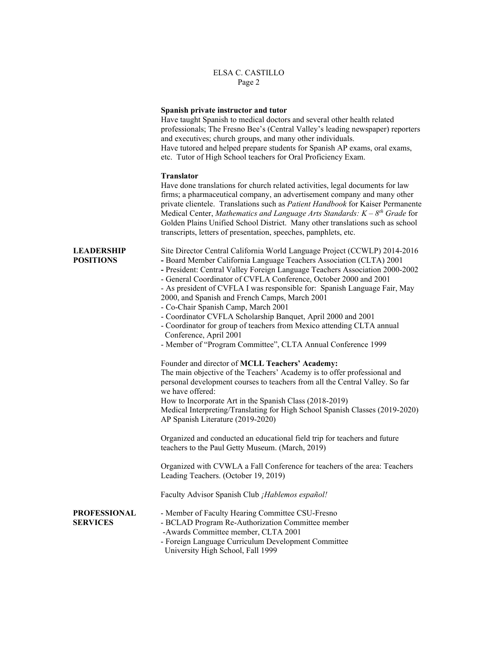|                                        | Spanish private instructor and tutor<br>Have taught Spanish to medical doctors and several other health related<br>professionals; The Fresno Bee's (Central Valley's leading newspaper) reporters<br>and executives; church groups, and many other individuals.<br>Have tutored and helped prepare students for Spanish AP exams, oral exams,<br>etc. Tutor of High School teachers for Oral Proficiency Exam.                                                                                                                                                                                                                                                                                               |
|----------------------------------------|--------------------------------------------------------------------------------------------------------------------------------------------------------------------------------------------------------------------------------------------------------------------------------------------------------------------------------------------------------------------------------------------------------------------------------------------------------------------------------------------------------------------------------------------------------------------------------------------------------------------------------------------------------------------------------------------------------------|
|                                        | <b>Translator</b><br>Have done translations for church related activities, legal documents for law<br>firms; a pharmaceutical company, an advertisement company and many other<br>private clientele. Translations such as Patient Handbook for Kaiser Permanente<br>Medical Center, Mathematics and Language Arts Standards: $K - 8th$ Grade for<br>Golden Plains Unified School District. Many other translations such as school<br>transcripts, letters of presentation, speeches, pamphlets, etc.                                                                                                                                                                                                         |
| <b>LEADERSHIP</b><br><b>POSITIONS</b>  | Site Director Central California World Language Project (CCWLP) 2014-2016<br>- Board Member California Language Teachers Association (CLTA) 2001<br>- President: Central Valley Foreign Language Teachers Association 2000-2002<br>- General Coordinator of CVFLA Conference, October 2000 and 2001<br>- As president of CVFLA I was responsible for: Spanish Language Fair, May<br>2000, and Spanish and French Camps, March 2001<br>- Co-Chair Spanish Camp, March 2001<br>- Coordinator CVFLA Scholarship Banquet, April 2000 and 2001<br>- Coordinator for group of teachers from Mexico attending CLTA annual<br>Conference, April 2001<br>- Member of "Program Committee", CLTA Annual Conference 1999 |
|                                        | Founder and director of MCLL Teachers' Academy:<br>The main objective of the Teachers' Academy is to offer professional and<br>personal development courses to teachers from all the Central Valley. So far<br>we have offered:<br>How to Incorporate Art in the Spanish Class (2018-2019)<br>Medical Interpreting/Translating for High School Spanish Classes (2019-2020)<br>AP Spanish Literature (2019-2020)                                                                                                                                                                                                                                                                                              |
|                                        | Organized and conducted an educational field trip for teachers and future<br>teachers to the Paul Getty Museum. (March, 2019)                                                                                                                                                                                                                                                                                                                                                                                                                                                                                                                                                                                |
|                                        | Organized with CVWLA a Fall Conference for teachers of the area: Teachers<br>Leading Teachers. (October 19, 2019)                                                                                                                                                                                                                                                                                                                                                                                                                                                                                                                                                                                            |
|                                        | Faculty Advisor Spanish Club ¡Hablemos español!                                                                                                                                                                                                                                                                                                                                                                                                                                                                                                                                                                                                                                                              |
| <b>PROFESSIONAL</b><br><b>SERVICES</b> | - Member of Faculty Hearing Committee CSU-Fresno<br>- BCLAD Program Re-Authorization Committee member<br>-Awards Committee member, CLTA 2001<br>- Foreign Language Curriculum Development Committee<br>University High School, Fall 1999                                                                                                                                                                                                                                                                                                                                                                                                                                                                     |